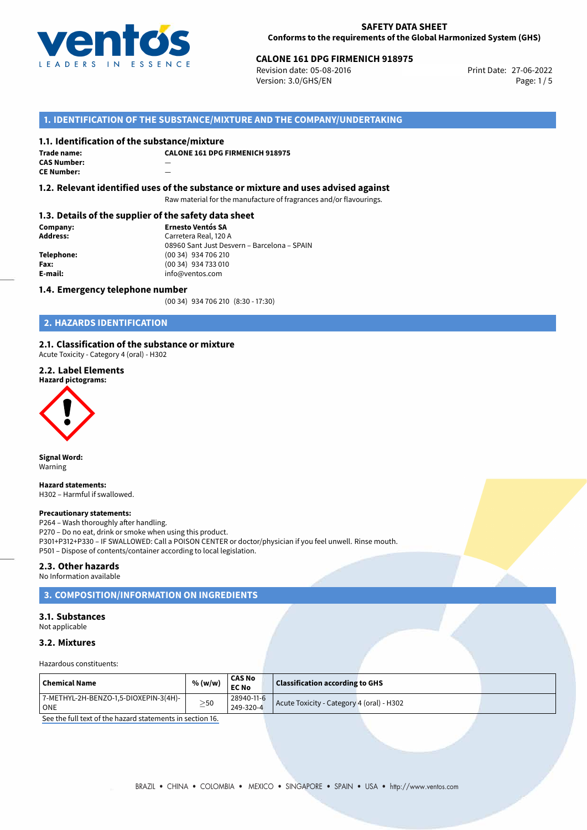

# **CALONE 161 DPG FIRMENICH 918975**<br>
Revision date: 05-08-2016<br>
Print Date: 27-06-2022

Revision date: 05-08-2016 Version: 3.0/GHS/EN Page: 1/5

## **1. IDENTIFICATION OF THE SUBSTANCE/MIXTURE AND THE COMPANY/UNDERTAKING**

## **1.1. Identification of the substance/mixture**

| Trade name:        | C. |
|--------------------|----|
| <b>CAS Number:</b> |    |
| <b>CE Number:</b>  |    |

**CALONE 161 DPG FIRMENICH 918975**

**1.2. Relevant identified uses of the substance or mixture and uses advised against**

Raw material for the manufacture of fragrances and/or flavourings.

### **1.3. Details of the supplier of the safety data sheet**

**Company: Ernesto Ventós SA Address:** Carretera Real, 120 A 08960 Sant Just Desvern – Barcelona – SPAIN **Telephone:** (00 34) 934 706 210 **Fax:** (00 34) 934 733 010<br> **E-mail: E-mail:** info@ventos.com **E-mail:** info@ventos.com

## **1.4. Emergency telephone number**

(00 34) 934 706 210 (8:30 - 17:30)

## **2. HAZARDS IDENTIFICATION**

#### **2.1. Classification of the substance or mixture**

Acute Toxicity - Category 4 (oral) - H302

## **2.2. Label Elements**

### **Hazard pictograms:**



**Signal Word:** Warning

#### **Hazard statements:**

H302 – Harmful if swallowed.

#### **Precautionary statements:**

P264 – Wash thoroughly after handling. P270 – Do no eat, drink or smoke when using this product. P301+P312+P330 – IF SWALLOWED: Call a POISON CENTER or doctor/physician if you feel unwell. Rinse mouth. P501 – Dispose of contents/container according to local legislation.

## **2.3. Other hazards**

No Information available

## **3. COMPOSITION/INFORMATION ON INGREDIENTS**

#### **3.1. Substances**

Not applicable

## **3.2. Mixtures**

Hazardous constituents:

|                                       |                         | <b>CAS No</b> |                                           |  |  |
|---------------------------------------|-------------------------|---------------|-------------------------------------------|--|--|
| Chemical Name                         | % (w/w)<br><b>EC No</b> |               | <b>Classification according to GHS</b>    |  |  |
| 7-METHYL-2H-BENZO-1,5-DIOXEPIN-3(4H)- |                         | 28940-11-6    |                                           |  |  |
| ONE                                   | $\geq$ 50               | $'249-320-4$  | Acute Toxicity - Category 4 (oral) - H302 |  |  |

[See the full text of the hazard statements in section 16.](#page--1-0)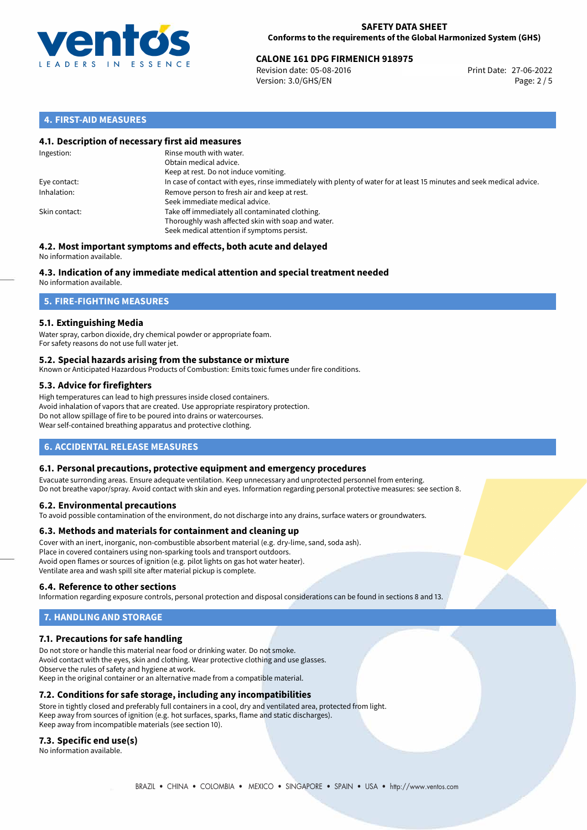

# **CALONE 161 DPG FIRMENICH 918975**<br>
Revision date: 05-08-2016<br> **Print Date: 27-06-2022**

Revision date: 05-08-2016 Version: 3.0/GHS/EN Page: 2 / 5

## **4. FIRST-AID MEASURES**

## **4.1. Description of necessary first aid measures**

| Ingestion:    | Rinse mouth with water.<br>Obtain medical advice.<br>Keep at rest. Do not induce vomiting.                                                           |
|---------------|------------------------------------------------------------------------------------------------------------------------------------------------------|
| Eye contact:  | In case of contact with eyes, rinse immediately with plenty of water for at least 15 minutes and seek medical advice.                                |
| Inhalation:   | Remove person to fresh air and keep at rest.<br>Seek immediate medical advice.                                                                       |
| Skin contact: | Take off immediately all contaminated clothing.<br>Thoroughly wash affected skin with soap and water.<br>Seek medical attention if symptoms persist. |

#### **4.2. Most important symptoms and effects, both acute and delayed** No information available.

# **4.3. Indication of any immediate medical attention and special treatment needed**

No information available.

## **5. FIRE-FIGHTING MEASURES**

## **5.1. Extinguishing Media**

Water spray, carbon dioxide, dry chemical powder or appropriate foam. For safety reasons do not use full water jet.

## **5.2. Special hazards arising from the substance or mixture**

Known or Anticipated Hazardous Products of Combustion: Emits toxic fumes under fire conditions.

## **5.3. Advice for firefighters**

High temperatures can lead to high pressures inside closed containers. Avoid inhalation of vapors that are created. Use appropriate respiratory protection. Do not allow spillage of fire to be poured into drains or watercourses. Wear self-contained breathing apparatus and protective clothing.

## **6. ACCIDENTAL RELEASE MEASURES**

## **6.1. Personal precautions, protective equipment and emergency procedures**

Evacuate surronding areas. Ensure adequate ventilation. Keep unnecessary and unprotected personnel from entering. Do not breathe vapor/spray. Avoid contact with skin and eyes. Information regarding personal protective measures: see section 8.

## **6.2. Environmental precautions**

To avoid possible contamination of the environment, do not discharge into any drains, surface waters or groundwaters.

## **6.3. Methods and materials for containment and cleaning up**

Cover with an inert, inorganic, non-combustible absorbent material (e.g. dry-lime, sand, soda ash). Place in covered containers using non-sparking tools and transport outdoors. Avoid open flames or sources of ignition (e.g. pilot lights on gas hot water heater). Ventilate area and wash spill site after material pickup is complete.

## **6.4. Reference to other sections**

Information regarding exposure controls, personal protection and disposal considerations can be found in sections 8 and 13.

# **7. HANDLING AND STORAGE**

## **7.1. Precautions for safe handling**

Do not store or handle this material near food or drinking water. Do not smoke. Avoid contact with the eyes, skin and clothing. Wear protective clothing and use glasses. Observe the rules of safety and hygiene at work. Keep in the original container or an alternative made from a compatible material.

## **7.2. Conditions for safe storage, including any incompatibilities**

Store in tightly closed and preferably full containers in a cool, dry and ventilated area, protected from light. Keep away from sources of ignition (e.g. hot surfaces, sparks, flame and static discharges). Keep away from incompatible materials (see section 10).

## **7.3. Specific end use(s)**

No information available.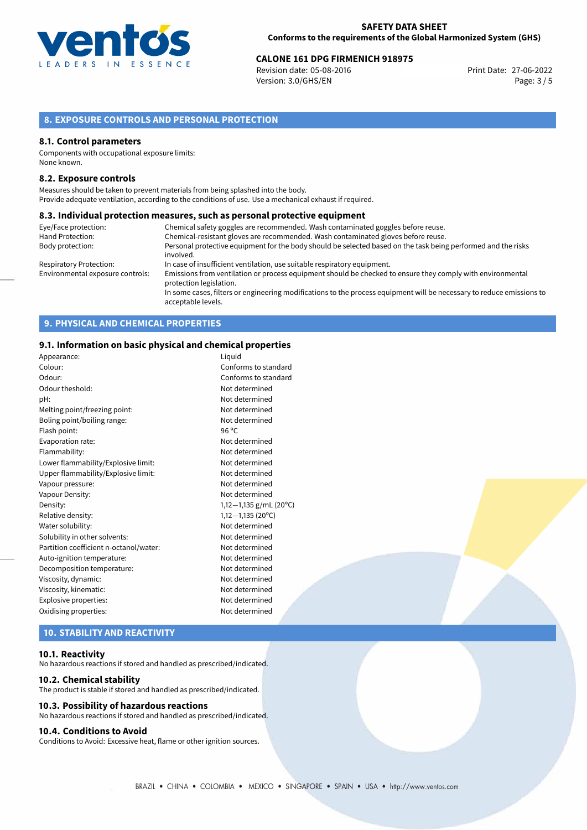

# **CALONE 161 DPG FIRMENICH 918975**<br>Revision date: 05-08-2016 **CALONE 1898 Print Date: 27-06-2022**

Revision date: 05-08-2016 Version: 3.0/GHS/EN Page: 3 / 5

## **8. EXPOSURE CONTROLS AND PERSONAL PROTECTION**

#### **8.1. Control parameters**

Components with occupational exposure limits: None known.

### **8.2. Exposure controls**

Measures should be taken to prevent materials from being splashed into the body. Provide adequate ventilation, according to the conditions of use. Use a mechanical exhaust if required.

#### **8.3. Individual protection measures, such as personal protective equipment**

| Eye/Face protection:             | Chemical safety goggles are recommended. Wash contaminated goggles before reuse.                                                            |
|----------------------------------|---------------------------------------------------------------------------------------------------------------------------------------------|
| Hand Protection:                 | Chemical-resistant gloves are recommended. Wash contaminated gloves before reuse.                                                           |
| Body protection:                 | Personal protective equipment for the body should be selected based on the task being performed and the risks                               |
|                                  | involved.                                                                                                                                   |
| Respiratory Protection:          | In case of insufficient ventilation, use suitable respiratory equipment.                                                                    |
| Environmental exposure controls: | Emissions from ventilation or process equipment should be checked to ensure they comply with environmental<br>protection legislation.       |
|                                  | In some cases, filters or engineering modifications to the process equipment will be necessary to reduce emissions to<br>acceptable levels. |

## **9. PHYSICAL AND CHEMICAL PROPERTIES**

## **9.1. Information on basic physical and chemical properties**

| Appearance:                            | Liquid                     |
|----------------------------------------|----------------------------|
| Colour:                                | Conforms to standard       |
| Odour:                                 | Conforms to standard       |
| Odour theshold:                        | Not determined             |
| pH:                                    | Not determined             |
| Melting point/freezing point:          | Not determined             |
| Boling point/boiling range:            | Not determined             |
| Flash point:                           | 96 °C                      |
| Evaporation rate:                      | Not determined             |
| Flammability:                          | Not determined             |
| Lower flammability/Explosive limit:    | Not determined             |
| Upper flammability/Explosive limit:    | Not determined             |
| Vapour pressure:                       | Not determined             |
| Vapour Density:                        | Not determined             |
| Density:                               | 1,12 $-1$ ,135 g/mL (20°C) |
| Relative density:                      | $1,12-1,135(20^{\circ}C)$  |
| Water solubility:                      | Not determined             |
| Solubility in other solvents:          | Not determined             |
| Partition coefficient n-octanol/water: | Not determined             |
| Auto-ignition temperature:             | Not determined             |
| Decomposition temperature:             | Not determined             |
| Viscosity, dynamic:                    | Not determined             |
| Viscosity, kinematic:                  | Not determined             |
| Explosive properties:                  | Not determined             |
| Oxidising properties:                  | Not determined             |
|                                        |                            |

# **10. STABILITY AND REACTIVITY**

## **10.1. Reactivity**

No hazardous reactions if stored and handled as prescribed/indicated.

#### **10.2. Chemical stability**

The product is stable if stored and handled as prescribed/indicated.

## **10.3. Possibility of hazardous reactions**

No hazardous reactions if stored and handled as prescribed/indicated.

## **10.4. Conditions to Avoid**

Conditions to Avoid: Excessive heat, flame or other ignition sources.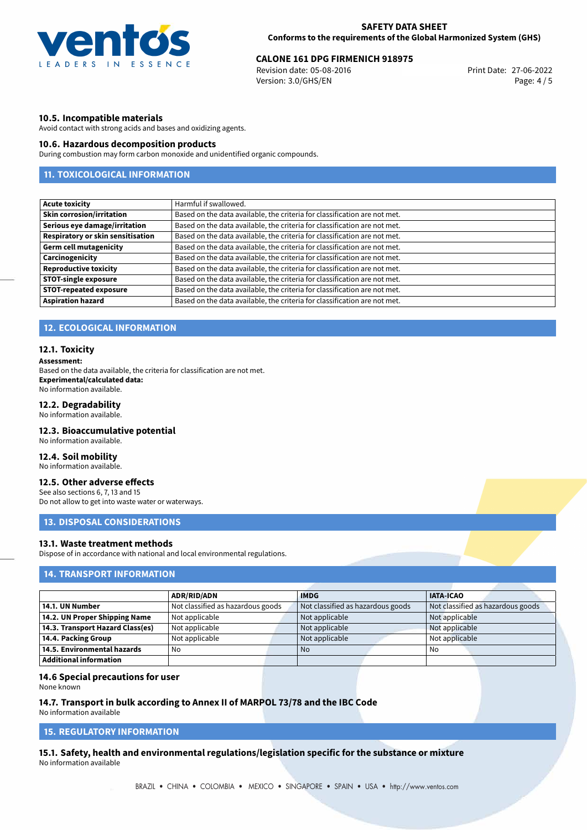

# **CALONE 161 DPG FIRMENICH 918975**<br>
Revision date: 05-08-2016<br>
Print Date: 27-06-2022

Revision date: 05-08-2016 Version: 3.0/GHS/EN Page: 4 / 5

## **10.5. Incompatible materials**

Avoid contact with strong acids and bases and oxidizing agents.

## **10.6. Hazardous decomposition products**

During combustion may form carbon monoxide and unidentified organic compounds.

## **11. TOXICOLOGICAL INFORMATION**

| <b>Acute toxicity</b>                    | Harmful if swallowed.                                                     |
|------------------------------------------|---------------------------------------------------------------------------|
| <b>Skin corrosion/irritation</b>         | Based on the data available, the criteria for classification are not met. |
| Serious eye damage/irritation            | Based on the data available, the criteria for classification are not met. |
| <b>Respiratory or skin sensitisation</b> | Based on the data available, the criteria for classification are not met. |
| <b>Germ cell mutagenicity</b>            | Based on the data available, the criteria for classification are not met. |
| Carcinogenicity                          | Based on the data available, the criteria for classification are not met. |
| <b>Reproductive toxicity</b>             | Based on the data available, the criteria for classification are not met. |
| <b>STOT-single exposure</b>              | Based on the data available, the criteria for classification are not met. |
| <b>STOT-repeated exposure</b>            | Based on the data available, the criteria for classification are not met. |
| <b>Aspiration hazard</b>                 | Based on the data available, the criteria for classification are not met. |

## **12. ECOLOGICAL INFORMATION**

#### **12.1. Toxicity**

#### **Assessment:**

Based on the data available, the criteria for classification are not met. **Experimental/calculated data:** No information available.

## **12.2. Degradability**

No information available.

### **12.3. Bioaccumulative potential**

No information available.

## **12.4. Soil mobility**

No information available.

## **12.5. Other adverse effects**

See also sections 6, 7, 13 and 15 Do not allow to get into waste water or waterways.

## **13. DISPOSAL CONSIDERATIONS**

## **13.1. Waste treatment methods**

Dispose of in accordance with national and local environmental regulations.

## **14. TRANSPORT INFORMATION**

|                                    | <b>ADR/RID/ADN</b>                | <b>IMDG</b>                       | <b>IATA-ICAO</b>                  |
|------------------------------------|-----------------------------------|-----------------------------------|-----------------------------------|
| 14.1. UN Number                    | Not classified as hazardous goods | Not classified as hazardous goods | Not classified as hazardous goods |
| 14.2. UN Proper Shipping Name      | Not applicable                    | Not applicable                    | Not applicable                    |
| 14.3. Transport Hazard Class(es)   | Not applicable                    | Not applicable                    | Not applicable                    |
| 14.4. Packing Group                | Not applicable                    | Not applicable                    | Not applicable                    |
| $\mid$ 14.5. Environmental hazards | No                                | No.                               | No                                |
| Additional information             |                                   |                                   |                                   |

#### **14.6 Special precautions for user**

None known

## **14.7. Transport in bulk according to Annex II of MARPOL 73/78 and the IBC Code**

No information available

# **15. REGULATORY INFORMATION**

**15.1. Safety, health and environmental regulations/legislation specific for the substance or mixture** No information available